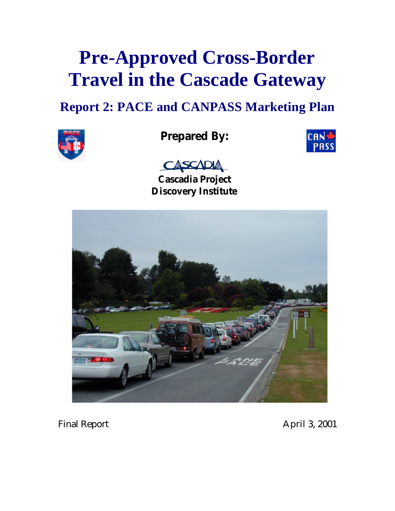# **Pre-Approved Cross-Border Travel in the Cascade Gateway**

## **Report 2: PACE and CANPASS Marketing Plan**



## **Prepared By:**





**Cascadia Project Discovery Institute**



Final Report April 3, 2001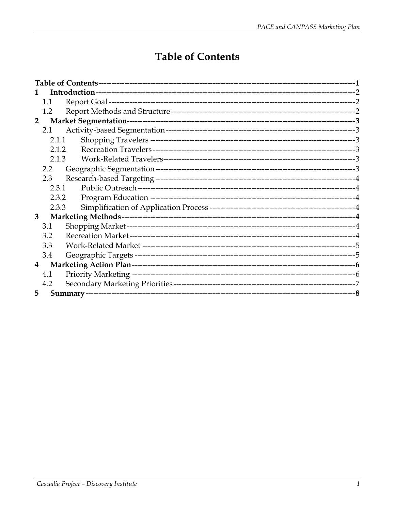## **Table of Contents**

<span id="page-1-0"></span>

| 1              |               |  |  |
|----------------|---------------|--|--|
|                | 1.1           |  |  |
|                | 1.2           |  |  |
|                | $2^{\circ}$   |  |  |
|                | 2.1           |  |  |
|                | 2.1.1         |  |  |
|                | 2.1.2         |  |  |
|                | 2.1.3         |  |  |
|                | $2.2^{\circ}$ |  |  |
|                | 2.3           |  |  |
|                | 2.3.1         |  |  |
|                | 2.3.2         |  |  |
|                | 2.3.3         |  |  |
| 3 <sup>5</sup> |               |  |  |
|                | 3.1           |  |  |
|                | 3.2           |  |  |
|                | 3.3           |  |  |
|                | 3.4           |  |  |
| $\bf{4}$       |               |  |  |
|                | 4.1           |  |  |
|                | 4.2           |  |  |
| 5              |               |  |  |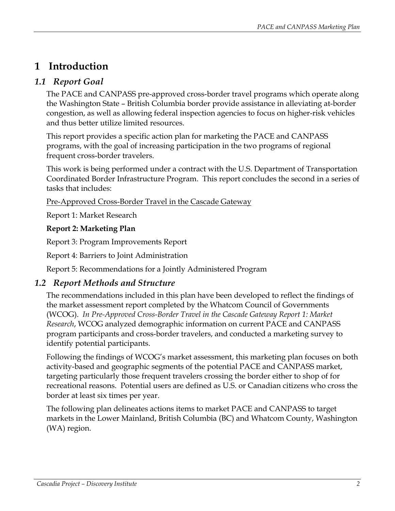## <span id="page-2-0"></span>**1 Introduction**

#### *1.1 Report Goal*

The PACE and CANPASS pre-approved cross-border travel programs which operate along the Washington State – British Columbia border provide assistance in alleviating at-border congestion, as well as allowing federal inspection agencies to focus on higher-risk vehicles and thus better utilize limited resources.

This report provides a specific action plan for marketing the PACE and CANPASS programs, with the goal of increasing participation in the two programs of regional frequent cross-border travelers.

This work is being performed under a contract with the U.S. Department of Transportation Coordinated Border Infrastructure Program. This report concludes the second in a series of tasks that includes:

#### Pre-Approved Cross-Border Travel in the Cascade Gateway

Report 1: Market Research

#### **Report 2: Marketing Plan**

Report 3: Program Improvements Report

Report 4: Barriers to Joint Administration

Report 5: Recommendations for a Jointly Administered Program

#### *1.2 Report Methods and Structure*

The recommendations included in this plan have been developed to reflect the findings of the market assessment report completed by the Whatcom Council of Governments (WCOG). *In Pre-Approved Cross-Border Travel in the Cascade Gateway Report 1: Market Research*, WCOG analyzed demographic information on current PACE and CANPASS program participants and cross-border travelers, and conducted a marketing survey to identify potential participants.

Following the findings of WCOG's market assessment, this marketing plan focuses on both activity-based and geographic segments of the potential PACE and CANPASS market, targeting particularly those frequent travelers crossing the border either to shop of for recreational reasons. Potential users are defined as U.S. or Canadian citizens who cross the border at least six times per year.

The following plan delineates actions items to market PACE and CANPASS to target markets in the Lower Mainland, British Columbia (BC) and Whatcom County, Washington (WA) region.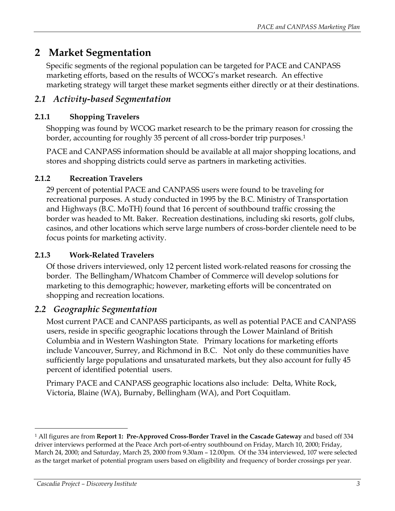## <span id="page-3-0"></span>**2 Market Segmentation**

Specific segments of the regional population can be targeted for PACE and CANPASS marketing efforts, based on the results of WCOG's market research. An effective marketing strategy will target these market segments either directly or at their destinations.

#### *2.1 Activity-based Segmentation*

#### **2.1.1 Shopping Travelers**

Shopping was found by WCOG market research to be the primary reason for crossing the border, accounting for roughly 35 percent of all cross-border trip purposes.<sup>[1](#page-3-1)</sup>

PACE and CANPASS information should be available at all major shopping locations, and stores and shopping districts could serve as partners in marketing activities.

#### **2.1.2 Recreation Travelers**

29 percent of potential PACE and CANPASS users were found to be traveling for recreational purposes. A study conducted in 1995 by the B.C. Ministry of Transportation and Highways (B.C. MoTH) found that 16 percent of southbound traffic crossing the border was headed to Mt. Baker. Recreation destinations, including ski resorts, golf clubs, casinos, and other locations which serve large numbers of cross-border clientele need to be focus points for marketing activity.

#### **2.1.3 Work-Related Travelers**

Of those drivers interviewed, only 12 percent listed work-related reasons for crossing the border. The Bellingham/Whatcom Chamber of Commerce will develop solutions for marketing to this demographic; however, marketing efforts will be concentrated on shopping and recreation locations.

#### *2.2 Geographic Segmentation*

Most current PACE and CANPASS participants, as well as potential PACE and CANPASS users, reside in specific geographic locations through the Lower Mainland of British Columbia and in Western Washington State. Primary locations for marketing efforts include Vancouver, Surrey, and Richmond in B.C. Not only do these communities have sufficiently large populations and unsaturated markets, but they also account for fully 45 percent of identified potential users.

Primary PACE and CANPASS geographic locations also include: Delta, White Rock, Victoria, Blaine (WA), Burnaby, Bellingham (WA), and Port Coquitlam.

 $\overline{a}$ 

<span id="page-3-1"></span><sup>1</sup> All figures are from **Report 1: Pre-Approved Cross-Border Travel in the Cascade Gateway** and based off 334 driver interviews performed at the Peace Arch port-of-entry southbound on Friday, March 10, 2000; Friday, March 24, 2000; and Saturday, March 25, 2000 from 9.30am – 12.00pm. Of the 334 interviewed, 107 were selected as the target market of potential program users based on eligibility and frequency of border crossings per year.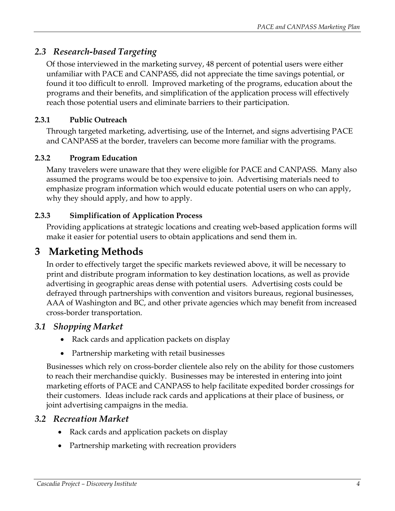#### <span id="page-4-0"></span>*2.3 Research-based Targeting*

Of those interviewed in the marketing survey, 48 percent of potential users were either unfamiliar with PACE and CANPASS, did not appreciate the time savings potential, or found it too difficult to enroll. Improved marketing of the programs, education about the programs and their benefits, and simplification of the application process will effectively reach those potential users and eliminate barriers to their participation.

#### **2.3.1 Public Outreach**

Through targeted marketing, advertising, use of the Internet, and signs advertising PACE and CANPASS at the border, travelers can become more familiar with the programs.

#### **2.3.2 Program Education**

Many travelers were unaware that they were eligible for PACE and CANPASS. Many also assumed the programs would be too expensive to join. Advertising materials need to emphasize program information which would educate potential users on who can apply, why they should apply, and how to apply.

#### **2.3.3 Simplification of Application Process**

Providing applications at strategic locations and creating web-based application forms will make it easier for potential users to obtain applications and send them in.

### **3 Marketing Methods**

In order to effectively target the specific markets reviewed above, it will be necessary to print and distribute program information to key destination locations, as well as provide advertising in geographic areas dense with potential users. Advertising costs could be defrayed through partnerships with convention and visitors bureaus, regional businesses, AAA of Washington and BC, and other private agencies which may benefit from increased cross-border transportation.

#### *3.1 Shopping Market*

- Rack cards and application packets on display
- Partnership marketing with retail businesses

Businesses which rely on cross-border clientele also rely on the ability for those customers to reach their merchandise quickly. Businesses may be interested in entering into joint marketing efforts of PACE and CANPASS to help facilitate expedited border crossings for their customers. Ideas include rack cards and applications at their place of business, or joint advertising campaigns in the media.

#### *3.2 Recreation Market*

- Rack cards and application packets on display
- Partnership marketing with recreation providers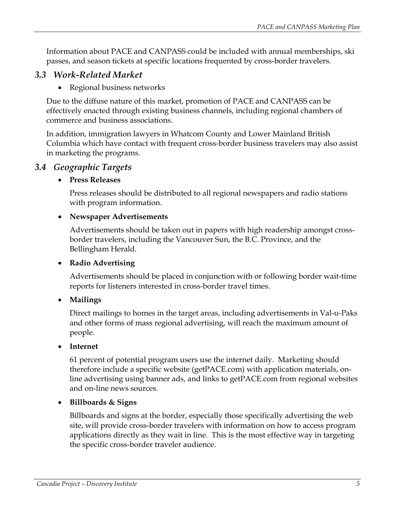<span id="page-5-0"></span>Information about PACE and CANPASS could be included with annual memberships, ski passes, and season tickets at specific locations frequented by cross-border travelers.

#### *3.3 Work-Related Market*

• Regional business networks

Due to the diffuse nature of this market, promotion of PACE and CANPASS can be effectively enacted through existing business channels, including regional chambers of commerce and business associations.

In addition, immigration lawyers in Whatcom County and Lower Mainland British Columbia which have contact with frequent cross-border business travelers may also assist in marketing the programs.

#### *3.4 Geographic Targets*

#### • **Press Releases**

Press releases should be distributed to all regional newspapers and radio stations with program information.

#### • **Newspaper Advertisements**

Advertisements should be taken out in papers with high readership amongst crossborder travelers, including the Vancouver Sun, the B.C. Province, and the Bellingham Herald.

#### • **Radio Advertising**

Advertisements should be placed in conjunction with or following border wait-time reports for listeners interested in cross-border travel times.

#### • **Mailings**

Direct mailings to homes in the target areas, including advertisements in Val-u-Paks and other forms of mass regional advertising, will reach the maximum amount of people.

#### • **Internet**

61 percent of potential program users use the internet daily. Marketing should therefore include a specific website (getPACE.com) with application materials, online advertising using banner ads, and links to getPACE.com from regional websites and on-line news sources.

#### • **Billboards & Signs**

Billboards and signs at the border, especially those specifically advertising the web site, will provide cross-border travelers with information on how to access program applications directly as they wait in line. This is the most effective way in targeting the specific cross-border traveler audience.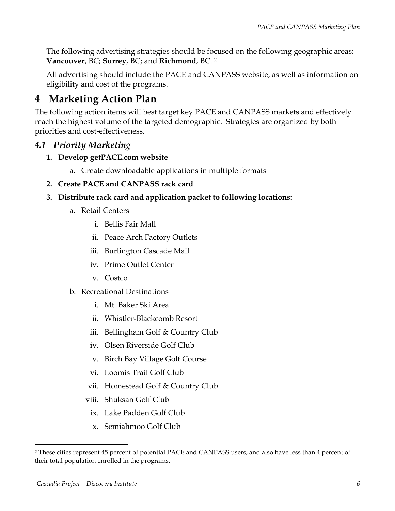<span id="page-6-0"></span>The following advertising strategies should be focused on the following geographic areas: **Vancouver**, BC; **Surrey**, BC; and **Richmond**, BC. [2](#page-6-1) 

All advertising should include the PACE and CANPASS website, as well as information on eligibility and cost of the programs.

## **4 Marketing Action Plan**

The following action items will best target key PACE and CANPASS markets and effectively reach the highest volume of the targeted demographic. Strategies are organized by both priorities and cost-effectiveness.

#### *4.1 Priority Marketing*

- **1. Develop getPACE.com website** 
	- a. Create downloadable applications in multiple formats
- **2. Create PACE and CANPASS rack card**
- **3. Distribute rack card and application packet to following locations:** 
	- a. Retail Centers
		- i. Bellis Fair Mall
		- ii. Peace Arch Factory Outlets
		- iii. Burlington Cascade Mall
		- iv. Prime Outlet Center
		- v. Costco
	- b. Recreational Destinations
		- i. Mt. Baker Ski Area
		- ii. Whistler-Blackcomb Resort
		- iii. Bellingham Golf & Country Club
		- iv. Olsen Riverside Golf Club
		- v. Birch Bay Village Golf Course
		- vi. Loomis Trail Golf Club
		- vii. Homestead Golf & Country Club
		- viii. Shuksan Golf Club
		- ix. Lake Padden Golf Club
		- x. Semiahmoo Golf Club

 $\overline{a}$ 

<span id="page-6-1"></span><sup>2</sup> These cities represent 45 percent of potential PACE and CANPASS users, and also have less than 4 percent of their total population enrolled in the programs.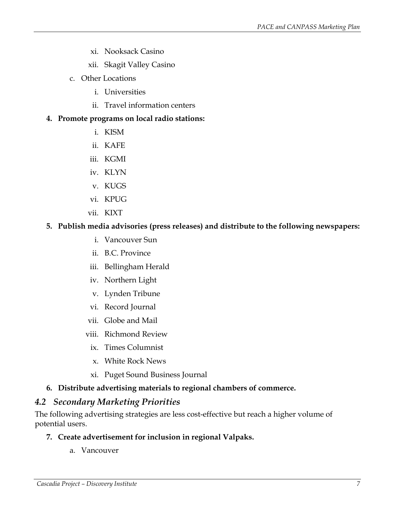- <span id="page-7-0"></span>xi. Nooksack Casino
- xii. Skagit Valley Casino
- c. Other Locations
	- i. Universities
	- ii. Travel information centers

#### **4. Promote programs on local radio stations:**

- i. KISM
- ii. KAFE
- iii. KGMI
- iv. KLYN
- v. KUGS
- vi. KPUG
- vii. KIXT

#### **5. Publish media advisories (press releases) and distribute to the following newspapers:**

- i. Vancouver Sun
- ii. B.C. Province
- iii. Bellingham Herald
- iv. Northern Light
- v. Lynden Tribune
- vi. Record Journal
- vii. Globe and Mail
- viii. Richmond Review
	- ix. Times Columnist
	- x. White Rock News
- xi. Puget Sound Business Journal

#### **6. Distribute advertising materials to regional chambers of commerce.**

#### *4.2 Secondary Marketing Priorities*

The following advertising strategies are less cost-effective but reach a higher volume of potential users.

#### **7. Create advertisement for inclusion in regional Valpaks.**

a. Vancouver